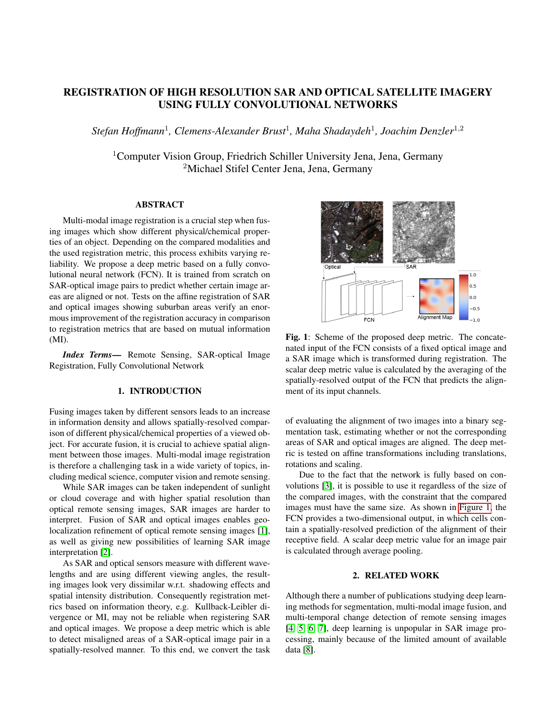# REGISTRATION OF HIGH RESOLUTION SAR AND OPTICAL SATELLITE IMAGERY USING FULLY CONVOLUTIONAL NETWORKS

*Stefan Hoffmann*<sup>1</sup> *, Clemens-Alexander Brust*<sup>1</sup> *, Maha Shadaydeh*<sup>1</sup> *, Joachim Denzler*<sup>1</sup>,<sup>2</sup>

<sup>1</sup>Computer Vision Group, Friedrich Schiller University Jena, Jena, Germany <sup>2</sup>Michael Stifel Center Jena, Jena, Germany

# ABSTRACT

Multi-modal image registration is a crucial step when fusing images which show different physical/chemical properties of an object. Depending on the compared modalities and the used registration metric, this process exhibits varying reliability. We propose a deep metric based on a fully convolutional neural network (FCN). It is trained from scratch on SAR-optical image pairs to predict whether certain image areas are aligned or not. Tests on the affine registration of SAR and optical images showing suburban areas verify an enormous improvement of the registration accuracy in comparison to registration metrics that are based on mutual information (MI).

*Index Terms*— Remote Sensing, SAR-optical Image Registration, Fully Convolutional Network

## 1. INTRODUCTION

Fusing images taken by different sensors leads to an increase in information density and allows spatially-resolved comparison of different physical/chemical properties of a viewed object. For accurate fusion, it is crucial to achieve spatial alignment between those images. Multi-modal image registration is therefore a challenging task in a wide variety of topics, including medical science, computer vision and remote sensing.

While SAR images can be taken independent of sunlight or cloud coverage and with higher spatial resolution than optical remote sensing images, SAR images are harder to interpret. Fusion of SAR and optical images enables geolocalization refinement of optical remote sensing images [\[1\]](#page-3-0), as well as giving new possibilities of learning SAR image interpretation [\[2\]](#page-3-1).

As SAR and optical sensors measure with different wavelengths and are using different viewing angles, the resulting images look very dissimilar w.r.t. shadowing effects and spatial intensity distribution. Consequently registration metrics based on information theory, e.g. Kullback-Leibler divergence or MI, may not be reliable when registering SAR and optical images. We propose a deep metric which is able to detect misaligned areas of a SAR-optical image pair in a spatially-resolved manner. To this end, we convert the task

<span id="page-0-0"></span>

Fig. 1: Scheme of the proposed deep metric. The concatenated input of the FCN consists of a fixed optical image and a SAR image which is transformed during registration. The scalar deep metric value is calculated by the averaging of the spatially-resolved output of the FCN that predicts the alignment of its input channels.

of evaluating the alignment of two images into a binary segmentation task, estimating whether or not the corresponding areas of SAR and optical images are aligned. The deep metric is tested on affine transformations including translations, rotations and scaling.

Due to the fact that the network is fully based on convolutions [\[3\]](#page-3-2), it is possible to use it regardless of the size of the compared images, with the constraint that the compared images must have the same size. As shown in [Figure 1,](#page-0-0) the FCN provides a two-dimensional output, in which cells contain a spatially-resolved prediction of the alignment of their receptive field. A scalar deep metric value for an image pair is calculated through average pooling.

# 2. RELATED WORK

Although there a number of publications studying deep learning methods for segmentation, multi-modal image fusion, and multi-temporal change detection of remote sensing images [\[4,](#page-3-3) [5,](#page-3-4) [6,](#page-3-5) [7\]](#page-3-6), deep learning is unpopular in SAR image processing, mainly because of the limited amount of available data [\[8\]](#page-3-7).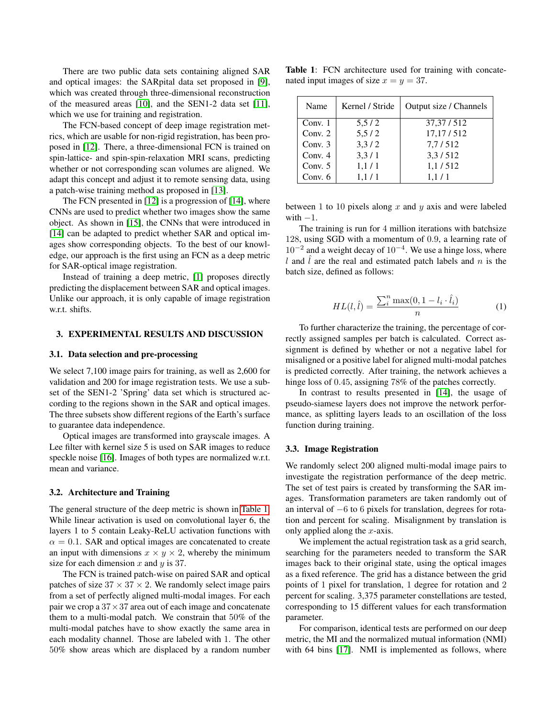There are two public data sets containing aligned SAR and optical images: the SARpital data set proposed in [\[9\]](#page-3-8), which was created through three-dimensional reconstruction of the measured areas [\[10\]](#page-3-9), and the SEN1-2 data set [\[11\]](#page-3-10), which we use for training and registration.

The FCN-based concept of deep image registration metrics, which are usable for non-rigid registration, has been proposed in [\[12\]](#page-3-11). There, a three-dimensional FCN is trained on spin-lattice- and spin-spin-relaxation MRI scans, predicting whether or not corresponding scan volumes are aligned. We adapt this concept and adjust it to remote sensing data, using a patch-wise training method as proposed in [\[13\]](#page-3-12).

The FCN presented in [\[12\]](#page-3-11) is a progression of [\[14\]](#page-3-13), where CNNs are used to predict whether two images show the same object. As shown in [\[15\]](#page-3-14), the CNNs that were introduced in [\[14\]](#page-3-13) can be adapted to predict whether SAR and optical images show corresponding objects. To the best of our knowledge, our approach is the first using an FCN as a deep metric for SAR-optical image registration.

Instead of training a deep metric, [\[1\]](#page-3-0) proposes directly predicting the displacement between SAR and optical images. Unlike our approach, it is only capable of image registration w.r.t. shifts.

#### 3. EXPERIMENTAL RESULTS AND DISCUSSION

#### 3.1. Data selection and pre-processing

We select 7,100 image pairs for training, as well as 2,600 for validation and 200 for image registration tests. We use a subset of the SEN1-2 'Spring' data set which is structured according to the regions shown in the SAR and optical images. The three subsets show different regions of the Earth's surface to guarantee data independence.

Optical images are transformed into grayscale images. A Lee filter with kernel size 5 is used on SAR images to reduce speckle noise [\[16\]](#page-3-15). Images of both types are normalized w.r.t. mean and variance.

### 3.2. Architecture and Training

The general structure of the deep metric is shown in [Table 1.](#page-1-0) While linear activation is used on convolutional layer 6, the layers 1 to 5 contain Leaky-ReLU activation functions with  $\alpha = 0.1$ . SAR and optical images are concatenated to create an input with dimensions  $x \times y \times 2$ , whereby the minimum size for each dimension  $x$  and  $y$  is 37.

The FCN is trained patch-wise on paired SAR and optical patches of size  $37 \times 37 \times 2$ . We randomly select image pairs from a set of perfectly aligned multi-modal images. For each pair we crop a  $37 \times 37$  area out of each image and concatenate them to a multi-modal patch. We constrain that 50% of the multi-modal patches have to show exactly the same area in each modality channel. Those are labeled with 1. The other 50% show areas which are displaced by a random number

<span id="page-1-0"></span>Table 1: FCN architecture used for training with concatenated input images of size  $x = y = 37$ .

| Name      | Kernel / Stride | Output size / Channels |
|-----------|-----------------|------------------------|
| Conv. $1$ | 5,5/2           | 37, 37 / 512           |
| Conv. $2$ | 5,5/2           | 17,17/512              |
| Conv. 3   | 3,3/2           | 7,7/512                |
| Conv. $4$ | 3,3/1           | 3,3/512                |
| Conv. $5$ | 1,1/1           | 1,1/512                |
| Conv. $6$ | 1,1/1           | 1,1/1                  |

between 1 to 10 pixels along  $x$  and  $y$  axis and were labeled with  $-1$ .

The training is run for 4 million iterations with batchsize 128, using SGD with a momentum of 0.9, a learning rate of  $10^{-2}$  and a weight decay of  $10^{-4}$ . We use a hinge loss, where l and  $l$  are the real and estimated patch labels and n is the batch size, defined as follows:

$$
HL(l,\hat{l}) = \frac{\sum_{i}^{n} \max(0, 1 - l_i \cdot \hat{l}_i)}{n}
$$
 (1)

To further characterize the training, the percentage of correctly assigned samples per batch is calculated. Correct assignment is defined by whether or not a negative label for misaligned or a positive label for aligned multi-modal patches is predicted correctly. After training, the network achieves a hinge loss of 0.45, assigning 78% of the patches correctly.

In contrast to results presented in [\[14\]](#page-3-13), the usage of pseudo-siamese layers does not improve the network performance, as splitting layers leads to an oscillation of the loss function during training.

### 3.3. Image Registration

We randomly select 200 aligned multi-modal image pairs to investigate the registration performance of the deep metric. The set of test pairs is created by transforming the SAR images. Transformation parameters are taken randomly out of an interval of −6 to 6 pixels for translation, degrees for rotation and percent for scaling. Misalignment by translation is only applied along the  $x$ -axis.

We implement the actual registration task as a grid search, searching for the parameters needed to transform the SAR images back to their original state, using the optical images as a fixed reference. The grid has a distance between the grid points of 1 pixel for translation, 1 degree for rotation and 2 percent for scaling. 3,375 parameter constellations are tested, corresponding to 15 different values for each transformation parameter.

For comparison, identical tests are performed on our deep metric, the MI and the normalized mutual information (NMI) with 64 bins [\[17\]](#page-3-16). NMI is implemented as follows, where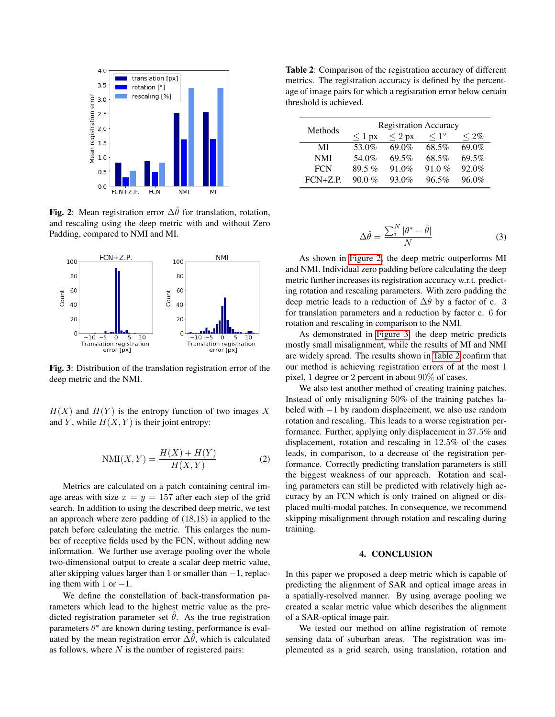<span id="page-2-0"></span>

Fig. 2: Mean registration error  $\Delta\hat{\theta}$  for translation, rotation, and rescaling using the deep metric with and without Zero Padding, compared to NMI and MI.

<span id="page-2-1"></span>

Fig. 3: Distribution of the translation registration error of the deep metric and the NMI.

 $H(X)$  and  $H(Y)$  is the entropy function of two images X and Y, while  $H(X, Y)$  is their joint entropy:

$$
\text{NMI}(X,Y) = \frac{H(X) + H(Y)}{H(X,Y)}\tag{2}
$$

Metrics are calculated on a patch containing central image areas with size  $x = y = 157$  after each step of the grid search. In addition to using the described deep metric, we test an approach where zero padding of (18,18) ia applied to the patch before calculating the metric. This enlarges the number of receptive fields used by the FCN, without adding new information. We further use average pooling over the whole two-dimensional output to create a scalar deep metric value, after skipping values larger than 1 or smaller than  $-1$ , replacing them with 1 or  $-1$ .

We define the constellation of back-transformation parameters which lead to the highest metric value as the predicted registration parameter set  $\theta$ . As the true registration parameters  $\theta^*$  are known during testing, performance is evaluated by the mean registration error  $\Delta\theta$ , which is calculated as follows, where  $N$  is the number of registered pairs:

<span id="page-2-2"></span>Table 2: Comparison of the registration accuracy of different metrics. The registration accuracy is defined by the percentage of image pairs for which a registration error below certain threshold is achieved.

| Methods    | <b>Registration Accuracy</b> |             |                  |            |
|------------|------------------------------|-------------|------------------|------------|
|            | $\leq 1$ px                  | $\leq 2$ px | $\leq 1^{\circ}$ | $\leq 2\%$ |
| МÏ         | 53.0%                        | 69.0%       | 68.5%            | 69.0%      |
| <b>NMI</b> | 54.0%                        | 69.5%       | 68.5%            | 69.5%      |
| <b>FCN</b> | 89.5%                        | 91.0%       | 91.0%            | 92.0%      |
| $FCN+Z.P.$ | $90.0 \%$                    | 93.0%       | 96.5%            | 96.0%      |

$$
\Delta \hat{\theta} = \frac{\sum_{i}^{N} |\theta^* - \hat{\theta}|}{N} \tag{3}
$$

As shown in [Figure 2,](#page-2-0) the deep metric outperforms MI and NMI. Individual zero padding before calculating the deep metric further increases its registration accuracy w.r.t. predicting rotation and rescaling parameters. With zero padding the deep metric leads to a reduction of  $\Delta\theta$  by a factor of c. 3 for translation parameters and a reduction by factor c. 6 for rotation and rescaling in comparison to the NMI.

As demonstrated in [Figure 3,](#page-2-1) the deep metric predicts mostly small misalignment, while the results of MI and NMI are widely spread. The results shown in [Table 2](#page-2-2) confirm that our method is achieving registration errors of at the most 1 pixel, 1 degree or 2 percent in about 90% of cases.

We also test another method of creating training patches. Instead of only misaligning 50% of the training patches labeled with −1 by random displacement, we also use random rotation and rescaling. This leads to a worse registration performance. Further, applying only displacement in 37.5% and displacement, rotation and rescaling in 12.5% of the cases leads, in comparison, to a decrease of the registration performance. Correctly predicting translation parameters is still the biggest weakness of our approach. Rotation and scaling parameters can still be predicted with relatively high accuracy by an FCN which is only trained on aligned or displaced multi-modal patches. In consequence, we recommend skipping misalignment through rotation and rescaling during training.

#### 4. CONCLUSION

In this paper we proposed a deep metric which is capable of predicting the alignment of SAR and optical image areas in a spatially-resolved manner. By using average pooling we created a scalar metric value which describes the alignment of a SAR-optical image pair.

We tested our method on affine registration of remote sensing data of suburban areas. The registration was implemented as a grid search, using translation, rotation and